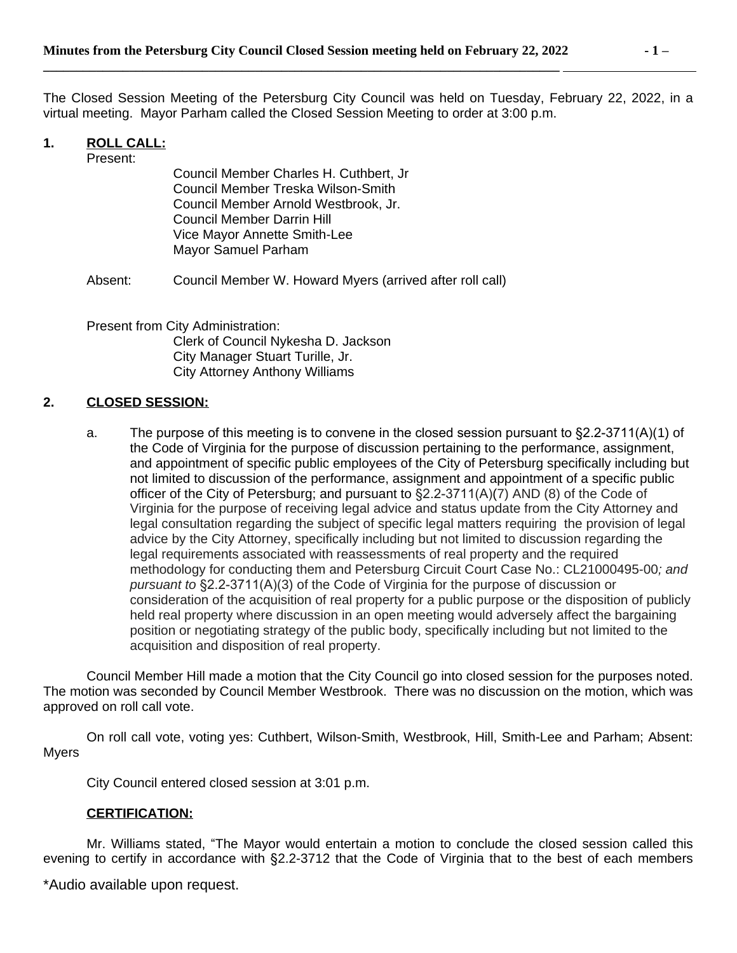The Closed Session Meeting of the Petersburg City Council was held on Tuesday, February 22, 2022, in a virtual meeting. Mayor Parham called the Closed Session Meeting to order at 3:00 p.m.

## **1. ROLL CALL:**

Present:

Council Member Charles H. Cuthbert, Jr Council Member Treska Wilson-Smith Council Member Arnold Westbrook, Jr. Council Member Darrin Hill Vice Mayor Annette Smith-Lee Mayor Samuel Parham

Absent: Council Member W. Howard Myers (arrived after roll call)

Present from City Administration: Clerk of Council Nykesha D. Jackson City Manager Stuart Turille, Jr. City Attorney Anthony Williams

## **2. CLOSED SESSION:**

a. The purpose of this meeting is to convene in the closed session pursuant to §2.2-3711(A)(1) of the Code of Virginia for the purpose of discussion pertaining to the performance, assignment, and appointment of specific public employees of the City of Petersburg specifically including but not limited to discussion of the performance, assignment and appointment of a specific public officer of the City of Petersburg; and pursuant to  $\S2.2$ -3711(A)(7) AND (8) of the Code of Virginia for the purpose of receiving legal advice and status update from the City Attorney and legal consultation regarding the subject of specific legal matters requiring the provision of legal advice by the City Attorney, specifically including but not limited to discussion regarding the legal requirements associated with reassessments of real property and the required methodology for conducting them and Petersburg Circuit Court Case No.: CL21000495-00*; and pursuant to* §2.2-3711(A)(3) of the Code of Virginia for the purpose of discussion or consideration of the acquisition of real property for a public purpose or the disposition of publicly held real property where discussion in an open meeting would adversely affect the bargaining position or negotiating strategy of the public body, specifically including but not limited to the acquisition and disposition of real property.

Council Member Hill made a motion that the City Council go into closed session for the purposes noted. The motion was seconded by Council Member Westbrook. There was no discussion on the motion, which was approved on roll call vote.

On roll call vote, voting yes: Cuthbert, Wilson-Smith, Westbrook, Hill, Smith-Lee and Parham; Absent: Myers

City Council entered closed session at 3:01 p.m.

## **CERTIFICATION:**

Mr. Williams stated, "The Mayor would entertain a motion to conclude the closed session called this evening to certify in accordance with §2.2-3712 that the Code of Virginia that to the best of each members

\*Audio available upon request.